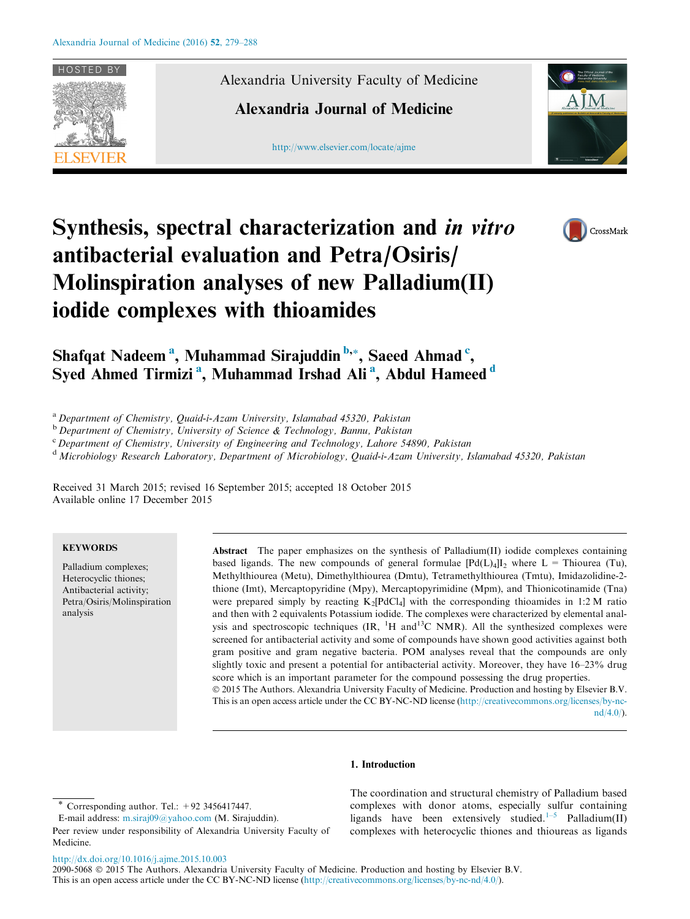

Alexandria University Faculty of Medicine

# Alexandria Journal of Medicine

[http://www.elsevier.com/locate/ajme](http://www.sciencedirect.com/science/journal/20905068)





# Synthesis, spectral characterization and in vitro antibacterial evaluation and Petra/Osiris/ Molinspiration analyses of new Palladium(II) iodide complexes with thioamides

Shafqat Nadeem<sup>a</sup>, Muhammad Sirajuddin<sup>b,</sup>\*, Saeed Ahmad <sup>c</sup>, Syed Ahmed Tirmizi<sup>a</sup>, Muhammad Irshad Ali<sup>a</sup>, Abdul Hameed<sup>d</sup>

<sup>a</sup> Department of Chemistry, Quaid-i-Azam University, Islamabad 45320, Pakistan

<sup>b</sup> Department of Chemistry, University of Science & Technology, Bannu, Pakistan

<sup>c</sup> Department of Chemistry, University of Engineering and Technology, Lahore 54890, Pakistan

<sup>d</sup> Microbiology Research Laboratory, Department of Microbiology, Quaid-i-Azam University, Islamabad 45320, Pakistan

Received 31 March 2015; revised 16 September 2015; accepted 18 October 2015 Available online 17 December 2015

#### **KEYWORDS**

Palladium complexes; Heterocyclic thiones; Antibacterial activity; Petra/Osiris/Molinspiration analysis

Abstract The paper emphasizes on the synthesis of Palladium(II) iodide complexes containing based ligands. The new compounds of general formulae  $[Pd(L)<sub>4</sub>]]_2$  where L = Thiourea (Tu), Methylthiourea (Metu), Dimethylthiourea (Dmtu), Tetramethylthiourea (Tmtu), Imidazolidine-2 thione (Imt), Mercaptopyridine (Mpy), Mercaptopyrimidine (Mpm), and Thionicotinamide (Tna) were prepared simply by reacting  $K_2[PolCl_4]$  with the corresponding thioamides in 1:2 M ratio and then with 2 equivalents Potassium iodide. The complexes were characterized by elemental analysis and spectroscopic techniques  $(IR, H and H^3C)$  MMR). All the synthesized complexes were screened for antibacterial activity and some of compounds have shown good activities against both gram positive and gram negative bacteria. POM analyses reveal that the compounds are only slightly toxic and present a potential for antibacterial activity. Moreover, they have 16–23% drug score which is an important parameter for the compound possessing the drug properties. 2015 The Authors. Alexandria University Faculty of Medicine. Production and hosting by Elsevier B.V. This is an open access article under the CC BY-NC-ND license [\(http://creativecommons.org/licenses/by-nc-](http://creativecommons.org/licenses/by-nc-nd/4.0/)

 $nd/4.0/$ ).

#### 1. Introduction

The coordination and structural chemistry of Palladium based complexes with donor atoms, especially sulfur containing ligands have been extensively studied.<sup>[1–5](#page-8-0)</sup> Palladium(II) complexes with heterocyclic thiones and thioureas as ligands

<http://dx.doi.org/10.1016/j.ajme.2015.10.003>

Corresponding author. Tel.:  $+92$  3456417447.

E-mail address: [m.siraj09@yahoo.com](mailto:m.siraj09@yahoo.com) (M. Sirajuddin).

Peer review under responsibility of Alexandria University Faculty of Medicine.

<sup>2090-5068</sup> 2015 The Authors. Alexandria University Faculty of Medicine. Production and hosting by Elsevier B.V. This is an open access article under the CC BY-NC-ND license [\(http://creativecommons.org/licenses/by-nc-nd/4.0/](http://creativecommons.org/licenses/by-nc-nd/4.0/)).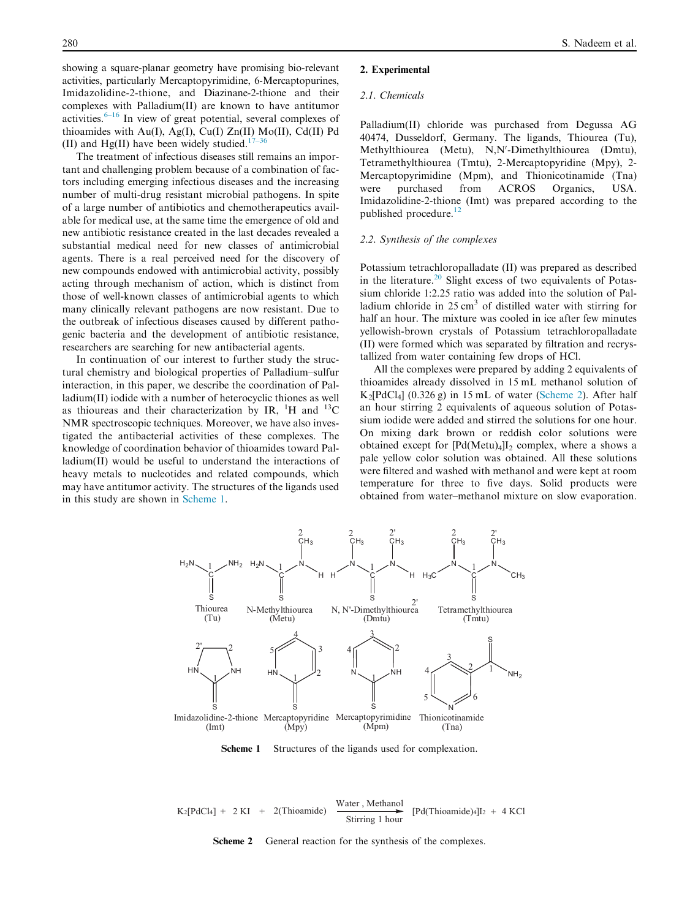<span id="page-1-0"></span>showing a square-planar geometry have promising bio-relevant activities, particularly Mercaptopyrimidine, 6-Mercaptopurines, Imidazolidine-2-thione, and Diazinane-2-thione and their complexes with Palladium(II) are known to have antitumor activities.[6–16](#page-8-0) In view of great potential, several complexes of thioamides with Au(I), Ag(I), Cu(I)  $Zn(II)$  Mo(II), Cd(II) Pd (II) and Hg(II) have been widely studied.<sup>[17–36](#page-8-0)</sup>

The treatment of infectious diseases still remains an important and challenging problem because of a combination of factors including emerging infectious diseases and the increasing number of multi-drug resistant microbial pathogens. In spite of a large number of antibiotics and chemotherapeutics available for medical use, at the same time the emergence of old and new antibiotic resistance created in the last decades revealed a substantial medical need for new classes of antimicrobial agents. There is a real perceived need for the discovery of new compounds endowed with antimicrobial activity, possibly acting through mechanism of action, which is distinct from those of well-known classes of antimicrobial agents to which many clinically relevant pathogens are now resistant. Due to the outbreak of infectious diseases caused by different pathogenic bacteria and the development of antibiotic resistance, researchers are searching for new antibacterial agents.

In continuation of our interest to further study the structural chemistry and biological properties of Palladium–sulfur interaction, in this paper, we describe the coordination of Palladium(II) iodide with a number of heterocyclic thiones as well as thioureas and their characterization by IR,  $^{1}$ H and  $^{13}$ C NMR spectroscopic techniques. Moreover, we have also investigated the antibacterial activities of these complexes. The knowledge of coordination behavior of thioamides toward Palladium(II) would be useful to understand the interactions of heavy metals to nucleotides and related compounds, which may have antitumor activity. The structures of the ligands used in this study are shown in Scheme 1.

#### 2. Experimental

#### 2.1. Chemicals

Palladium(II) chloride was purchased from Degussa AG 40474, Dusseldorf, Germany. The ligands, Thiourea (Tu), Methylthiourea (Metu), N,N'-Dimethylthiourea (Dmtu), Tetramethylthiourea (Tmtu), 2-Mercaptopyridine (Mpy), 2- Mercaptopyrimidine (Mpm), and Thionicotinamide (Tna) were purchased from ACROS Organics, USA. Imidazolidine-2-thione (Imt) was prepared according to the published procedure.<sup>[12](#page-8-0)</sup>

## 2.2. Synthesis of the complexes

Potassium tetrachloropalladate (II) was prepared as described in the literature.<sup>[20](#page-8-0)</sup> Slight excess of two equivalents of Potassium chloride 1:2.25 ratio was added into the solution of Palladium chloride in 25 cm<sup>3</sup> of distilled water with stirring for half an hour. The mixture was cooled in ice after few minutes yellowish-brown crystals of Potassium tetrachloropalladate (II) were formed which was separated by filtration and recrystallized from water containing few drops of HCl.

All the complexes were prepared by adding 2 equivalents of thioamides already dissolved in 15 mL methanol solution of  $K_2[PdCl_4]$  (0.326 g) in 15 mL of water (Scheme 2). After half an hour stirring 2 equivalents of aqueous solution of Potassium iodide were added and stirred the solutions for one hour. On mixing dark brown or reddish color solutions were obtained except for  $[Pd(Metu)_4]I_2$  complex, where a shows a pale yellow color solution was obtained. All these solutions were filtered and washed with methanol and were kept at room temperature for three to five days. Solid products were obtained from water–methanol mixture on slow evaporation.



Scheme 1 Structures of the ligands used for complexation.

$$
K_2[PdCl_4] + 2 KI + 2(Thioamide) \xrightarrow{\text{Water, Methanol}} [Pd(Thioamide)4]I_2 + 4 KCl
$$

Scheme 2 General reaction for the synthesis of the complexes.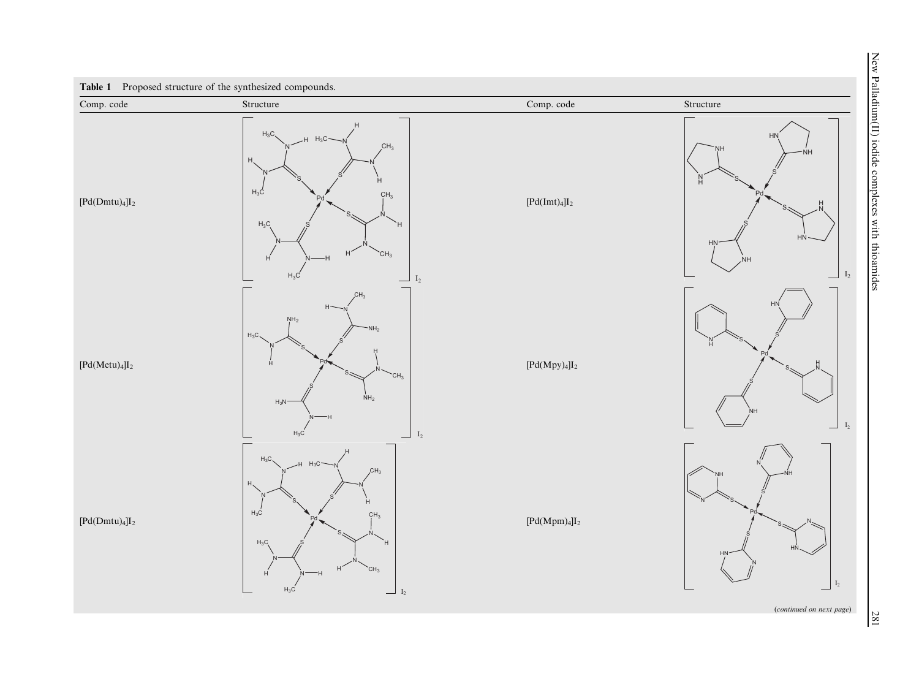New Palladium(II) iodide complexes with thioamides New Palladium(III) iodide complexes with thior complexes with this complexes with this complexes with this complexes with  $281$ 

<span id="page-2-0"></span>

(continued on next page)

281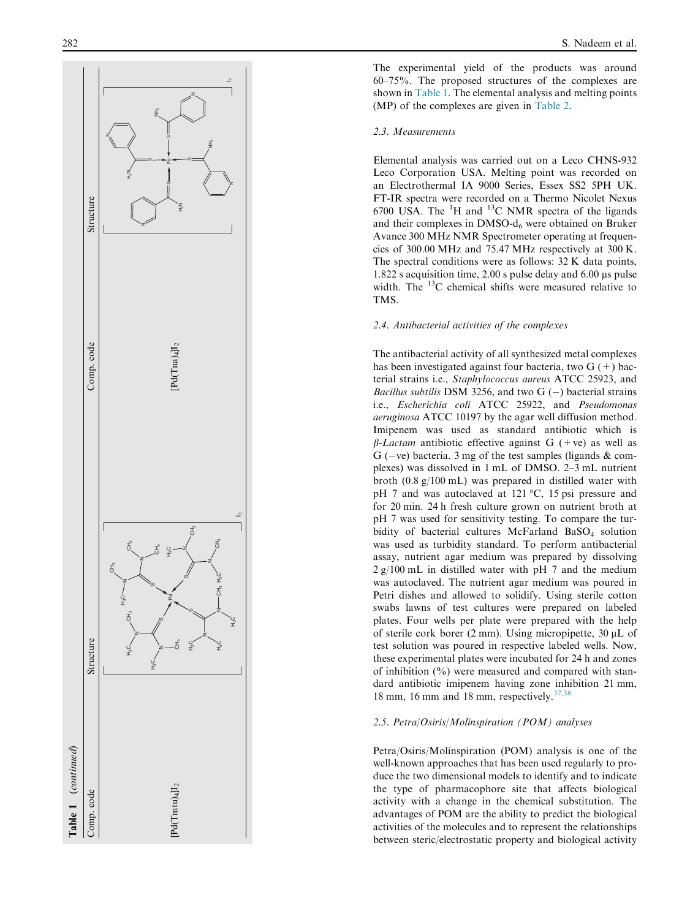

The experimental yield of the products was around 60–75%. The proposed structures of the complexes are shown in [Table 1.](#page-2-0) The elemental analysis and melting points (MP) of the complexes are given in [Table 2](#page-4-0) .

#### 2.3. Measurements

Elemental analysis was carried out on a Leco CHNS-932 Leco Corporation USA. Melting point was recorded on an Electrothermal IA 9000 Series, Essex SS2 5PH UK. FT-IR spectra were recorded on a Thermo Nicolet Nexus 6700 USA. The  ${}^{1}H$  and  ${}^{13}C$  NMR spectra of the ligands and their complexes in DMSO-d <sup>6</sup> were obtained on Bruker Avance 300 MHz NMR Spectrometer operating at frequencies of 300.00 MHz and 75.47 MHz respectively at 300 K. The spectral conditions were as follows: 32 K data points, 1.822 s acquisition time, 2.00 s pulse delay and 6.00 µs pulse width. The 13C chemical shifts were measured relative to TMS.

# 2.4. Antibacterial activities of the complexes

The antibacterial activity of all synthesized metal complexes has been investigated against four bacteria, two  $G$  (+) bacterial strains i.e., Staphylococcus aureus ATCC 25923, and *Bacillus subtilis* DSM 3256, and two  $G(-)$  bacterial strains i.e., Escherichia coli ATCC 25922, and Pseudomonas aeruginosa ATCC 10197 by the agar well diffusion method. Imipenem was used as standard antibiotic which is  $\beta$ -Lactam antibiotic effective against G (+ve) as well as  $G$  (-ve) bacteria. 3 mg of the test samples (ligands  $\&$  complexes) was dissolved in 1 mL of DMSO. 2–3 mL nutrient broth (0.8 g/100 mL) was prepared in distilled water with pH 7 and was autoclaved at 121 °C, 15 psi pressure and for 20 min. 24 h fresh culture grown on nutrient broth at pH 7 was used for sensitivity testing. To compare the turbidity of bacterial cultures McFarland BaSO<sub>4</sub> solution was used as turbidity standard. To perform antibacterial assay, nutrient agar medium was prepared by dissolving 2 g/100 mL in distilled water with pH 7 and the medium was autoclaved. The nutrient agar medium was poured in Petri dishes and allowed to solidify. Using sterile cotton swabs lawns of test cultures were prepared on labeled plates. Four wells per plate were prepared with the help of sterile cork borer (2 mm). Using micropipette, 30 µL of test solution was poured in respective labeled wells. Now, these experimental plates were incubated for 24 h and zones of inhibition  $(\%)$  were measured and compared with standard antibiotic imipenem having zone inhibition 21 mm, 18 mm, 16 mm and 18 mm, respectively. $37,38$ 

#### 2.5. Petra/Osiris/Molinspiration (POM) analyses

Petra/Osiris/Molinspiration (POM) analysis is one of the well-known approaches that has been used regularly to produce the two dimensional models to identify and to indicate the type of pharmacophore site that affects biological activity with a change in the chemical substitution. The advantages of POM are the ability to predict the biological activities of the molecules and to represent the relationships between steric/electrostatic property and biological activity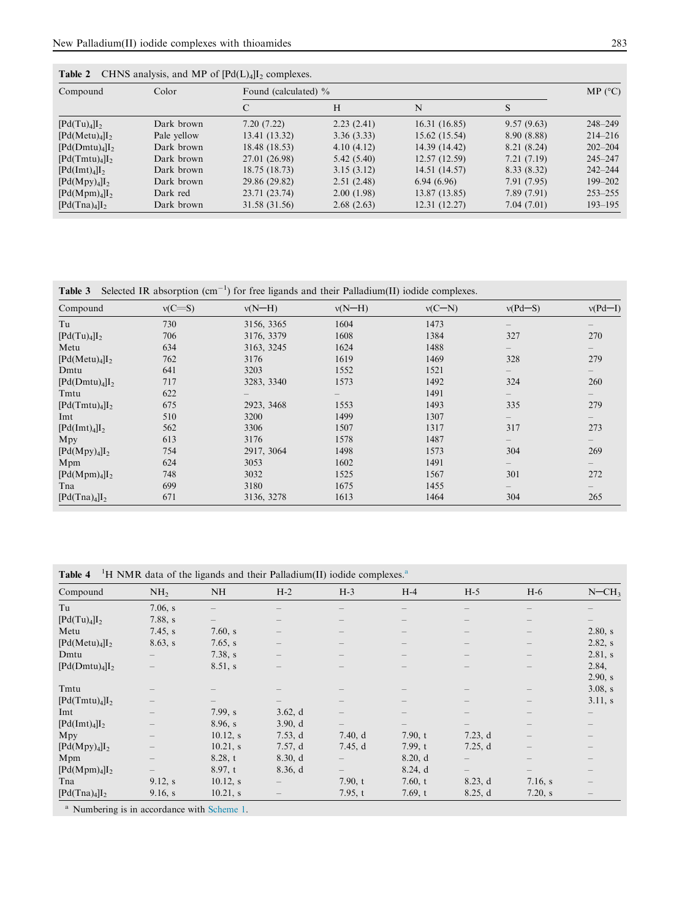| Compound                               | Color       | Found (calculated) % |            |               |             |             |  |  |
|----------------------------------------|-------------|----------------------|------------|---------------|-------------|-------------|--|--|
|                                        |             | C                    | Н          | N             | S           |             |  |  |
| [Pd(Tu) <sub>4</sub> ]I <sub>2</sub>   | Dark brown  | 7.20(7.22)           | 2.23(2.41) | 16.31(16.85)  | 9.57(9.63)  | $248 - 249$ |  |  |
| [Pd(Metu) <sub>4</sub> ]I <sub>2</sub> | Pale yellow | 13.41 (13.32)        | 3.36(3.33) | 15.62(15.54)  | 8.90 (8.88) | $214 - 216$ |  |  |
| [Pd(Dmtu) <sub>4</sub> ]               | Dark brown  | 18.48 (18.53)        | 4.10(4.12) | 14.39 (14.42) | 8.21 (8.24) | $202 - 204$ |  |  |
| [Pd(Tmtu) <sub>4</sub> ]I <sub>2</sub> | Dark brown  | 27.01 (26.98)        | 5.42(5.40) | 12.57(12.59)  | 7.21(7.19)  | $245 - 247$ |  |  |
| [Pd(Imt) <sub>4</sub> ]I <sub>2</sub>  | Dark brown  | 18.75 (18.73)        | 3.15(3.12) | 14.51 (14.57) | 8.33(8.32)  | $242 - 244$ |  |  |
| [Pd(Mpy) <sub>4</sub> ]I <sub>2</sub>  | Dark brown  | 29.86 (29.82)        | 2.51(2.48) | 6.94(6.96)    | 7.91 (7.95) | $199 - 202$ |  |  |
| $[Pd(Mpm)_4]I_2$                       | Dark red    | 23.71 (23.74)        | 2.00(1.98) | 13.87(13.85)  | 7.89(7.91)  | $253 - 255$ |  |  |
| [Pd(Tna) <sub>4</sub> ]I <sub>2</sub>  | Dark brown  | 31.58 (31.56)        | 2.68(2.63) | 12.31(12.27)  | 7.04 (7.01) | $193 - 195$ |  |  |

<span id="page-4-0"></span>

|  |  |  |  |  |  |  | <b>Table 2</b> CHNS analysis, and MP of $[Pd(L)4]I2$ complexes. |
|--|--|--|--|--|--|--|-----------------------------------------------------------------|
|--|--|--|--|--|--|--|-----------------------------------------------------------------|

| <b>Table 3</b> Selected IR absorption $(cm^{-1})$ for free ligands and their Palladium(II) iodide complexes. |  |  |  |  |
|--------------------------------------------------------------------------------------------------------------|--|--|--|--|
|                                                                                                              |  |  |  |  |

| Compound                               | $v(C=S)$ | $v(N-H)$   | $v(N-H)$ | $v(C-N)$ | $v(Pd-S)$                | $v(Pd-I)$         |
|----------------------------------------|----------|------------|----------|----------|--------------------------|-------------------|
| Tu                                     | 730      | 3156, 3365 | 1604     | 1473     |                          |                   |
| $[{\rm Pd(Tu)}_4]I_2$                  | 706      | 3176, 3379 | 1608     | 1384     | 327                      | 270               |
| Metu                                   | 634      | 3163, 3245 | 1624     | 1488     | $\qquad \qquad -$        | $\qquad \qquad -$ |
| [Pd(Metu) <sub>4</sub> ]I <sub>2</sub> | 762      | 3176       | 1619     | 1469     | 328                      | 279               |
| Dmtu                                   | 641      | 3203       | 1552     | 1521     | $\overline{\phantom{0}}$ | $\qquad \qquad -$ |
| [Pd(Dmtu) <sub>4</sub> ]I <sub>2</sub> | 717      | 3283, 3340 | 1573     | 1492     | 324                      | 260               |
| Tmtu                                   | 622      |            |          | 1491     | $\qquad \qquad -$        | $\qquad \qquad -$ |
| [Pd(Tmtu) <sub>4</sub> ]I <sub>2</sub> | 675      | 2923, 3468 | 1553     | 1493     | 335                      | 279               |
| Imt                                    | 510      | 3200       | 1499     | 1307     | $-$                      | $-$               |
| [Pd(Imt) <sub>4</sub> ]I <sub>2</sub>  | 562      | 3306       | 1507     | 1317     | 317                      | 273               |
| Mpy                                    | 613      | 3176       | 1578     | 1487     | $-$                      | $\qquad \qquad -$ |
| [Pd(Mpy) <sub>4</sub> ]I <sub>2</sub>  | 754      | 2917, 3064 | 1498     | 1573     | 304                      | 269               |
| Mpm                                    | 624      | 3053       | 1602     | 1491     | $\qquad \qquad -$        | $\qquad \qquad -$ |
| $[{\rm Pd}({\rm Mpm})_4]I_2$           | 748      | 3032       | 1525     | 1567     | 301                      | 272               |
| Tna                                    | 699      | 3180       | 1675     | 1455     | $-$                      | $-$               |
| [Pd(Tna) <sub>4</sub> ]I <sub>2</sub>  | 671      | 3136, 3278 | 1613     | 1464     | 304                      | 265               |

Table 4 <sup>1</sup>H NMR data of the ligands and their Palladium(II) iodide complexes.<sup>a</sup>

| Compound                               | NH <sub>2</sub>                 | <b>NH</b>   | $H-2$                    | $H-3$                    | $H-4$                    | $H-5$                    | $H-6$                           | $N = CH3$                |
|----------------------------------------|---------------------------------|-------------|--------------------------|--------------------------|--------------------------|--------------------------|---------------------------------|--------------------------|
| Tu                                     | 7.06, s                         |             | $\overline{\phantom{0}}$ |                          |                          |                          | $\overline{\phantom{0}}$        |                          |
| $[{\rm Pd(Tu)}_4]I_2$                  | 7.88, s                         |             | $\overline{\phantom{0}}$ |                          |                          |                          | $\overline{\phantom{0}}$        |                          |
| Metu                                   | 7.45, s                         | 7.60, s     | $\qquad \qquad -$        |                          |                          | $\overline{\phantom{0}}$ | $\overline{\phantom{0}}$        | 2.80, s                  |
| [Pd(Metu) <sub>4</sub> ]I <sub>2</sub> | 8.63, s                         | 7.65, s     | $\qquad \qquad -$        | $\qquad \qquad -$        |                          | $\qquad \qquad -$        | $\hspace{0.1mm}-\hspace{0.1mm}$ | 2.82, s                  |
| Dmtu                                   | $\qquad \qquad -$               | 7.38, s     | $\overline{\phantom{m}}$ | $\overline{\phantom{0}}$ | $\overline{\phantom{0}}$ | $\qquad \qquad -$        | $\hspace{0.1mm}-\hspace{0.1mm}$ | 2.81 s                   |
| $[Pd(Dmtu)_4]I_2$                      |                                 | 8.51, s     |                          |                          |                          |                          | $\overline{\phantom{0}}$        | 2.84,                    |
|                                        |                                 |             |                          |                          |                          |                          |                                 | 2.90, s                  |
| Tmtu                                   |                                 |             |                          | $\qquad \qquad -$        |                          | $\qquad \qquad -$        | $\overline{\phantom{0}}$        | 3.08, s                  |
| [Pd(Tmtu) <sub>4</sub> ]I <sub>2</sub> | $\hspace{0.1mm}-\hspace{0.1mm}$ |             | —                        | $\overline{\phantom{0}}$ | $\overline{\phantom{0}}$ | $\qquad \qquad -$        | $\hspace{0.1mm}-\hspace{0.1mm}$ | 3.11, s                  |
| Imt                                    | $\qquad \qquad -$               | 7.99, s     | 3.62, d                  | $\overline{\phantom{0}}$ |                          | $\qquad \qquad -$        | $\overline{\phantom{0}}$        | $\qquad \qquad -$        |
| [Pd(Imt) <sub>4</sub> ]I <sub>2</sub>  | $\qquad \qquad -$               | 8.96, s     | 3.90, d                  | $\qquad \qquad -$        |                          | —                        | $\qquad \qquad -$               | $\qquad \qquad -$        |
| Mpy                                    | $\qquad \qquad -$               | $10.12$ , s | 7.53, d                  | 7.40, d                  | 7.90, t                  | 7.23, d                  | $\qquad \qquad -$               | $\qquad \qquad -$        |
| [Pd(Mpy) <sub>4</sub> ]I <sub>2</sub>  |                                 | 10.21, s    | 7.57, d                  | 7.45, d                  | 7.99, t                  | 7.25, d                  | $\overline{\phantom{0}}$        | $\overline{\phantom{0}}$ |
| Mpm                                    |                                 | 8.28, t     | 8.30, d                  |                          | 8.20, d                  |                          | $\overline{\phantom{0}}$        | $\qquad \qquad -$        |
| $[Pd(Mpm)_4]I_2$                       |                                 | 8.97, t     | 8.36, d                  | $\qquad \qquad -$        | 8.24, d                  | $\qquad \qquad -$        | $-$                             | $\qquad \qquad -$        |
| Tna                                    | 9.12, s                         | $10.12$ , s | $-$                      | 7.90, t                  | 7.60, t                  | 8.23, d                  | 7.16, s                         | $\overline{\phantom{0}}$ |
| [Pd(Tna) <sub>4</sub> ]I <sub>2</sub>  | 9.16, s                         | 10.21, s    |                          | 7.95, t                  | 7.69, t                  | 8.25, d                  | 7.20, s                         | $\qquad \qquad -$        |

<sup>a</sup> Numbering is in accordance with [Scheme 1](#page-1-0).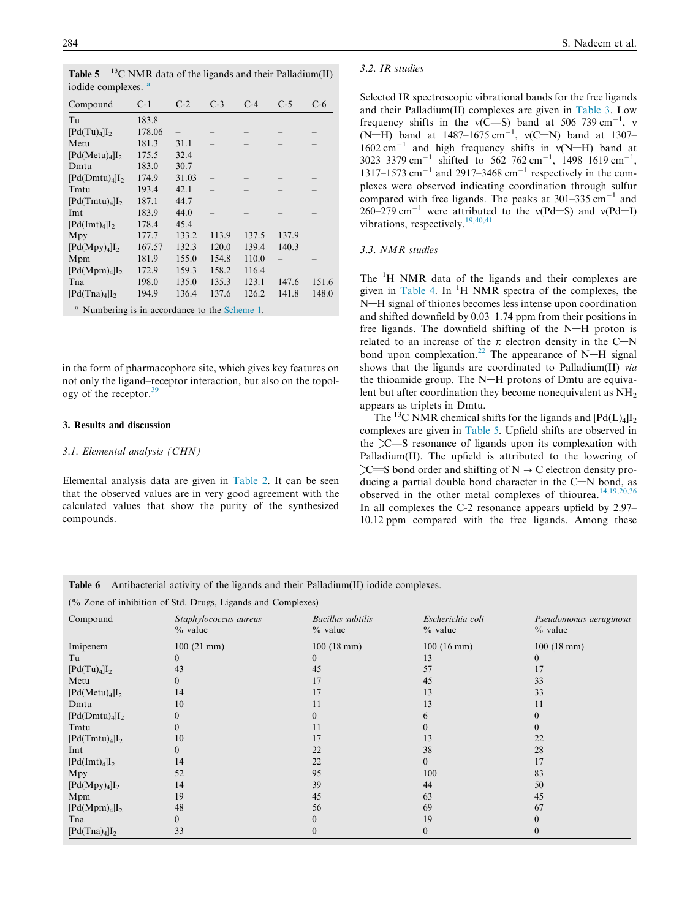<span id="page-5-0"></span>**Table 5** <sup>13</sup>C NMR data of the ligands and their Palladium(II) iodide complexes.

| Compound                               | $C-1$  | $C-2$ | $C-3$ | $C-4$ | $C-5$ | $C-6$ |
|----------------------------------------|--------|-------|-------|-------|-------|-------|
| Tu                                     | 183.8  |       |       |       |       |       |
| [Pd(Tu) <sub>4</sub> ]I <sub>2</sub>   | 178.06 |       |       |       |       |       |
| Metu                                   | 181.3  | 31.1  |       |       |       |       |
| $[Pd(Metu)_4]I_2$                      | 175.5  | 32.4  |       |       |       |       |
| Dmtu                                   | 183.0  | 30.7  |       |       |       |       |
| [Pd(Dmtu) <sub>4</sub> ]I <sub>2</sub> | 174.9  | 31.03 |       |       |       |       |
| Tmtu                                   | 193.4  | 42.1  |       |       |       |       |
| $[Pd(Tmtu)_4]I_2$                      | 187.1  | 44.7  |       | -     |       |       |
| Imt                                    | 183.9  | 44.0  |       |       |       |       |
| [Pd(Imt) <sub>4</sub> ]I <sub>2</sub>  | 178.4  | 45.4  |       |       |       |       |
| Mpy                                    | 177.7  | 133.2 | 113.9 | 137.5 | 137.9 |       |
| [Pd(Mpy) <sub>4</sub> ]I <sub>2</sub>  | 167.57 | 132.3 | 120.0 | 139.4 | 140.3 |       |
| Mpm                                    | 181.9  | 155.0 | 154.8 | 110.0 |       |       |
| $[Pd(Mpm)_4]I_2$                       | 172.9  | 159.3 | 158.2 | 116.4 |       |       |
| Tna                                    | 198.0  | 135.0 | 135.3 | 123.1 | 147.6 | 151.6 |
| [Pd(Tna) <sub>4</sub> ]I <sub>2</sub>  | 194.9  | 136.4 | 137.6 | 126.2 | 141.8 | 148.0 |

<sup>a</sup> Numbering is in accordance to the [Scheme 1.](#page-1-0)

in the form of pharmacophore site, which gives key features on not only the ligand–receptor interaction, but also on the topology of the receptor. $3$ 

#### 3. Results and discussion

#### 3.1. Elemental analysis (CHN)

Elemental analysis data are given in [Table 2.](#page-4-0) It can be seen that the observed values are in very good agreement with the calculated values that show the purity of the synthesized compounds.

#### 3.2. IR studies

Selected IR spectroscopic vibrational bands for the free ligands and their Palladium(II) complexes are given in [Table 3.](#page-4-0) Low frequency shifts in the  $v(C= S)$  band at 506–739 cm<sup>-1</sup>, v  $(N-H)$  band at 1487–1675 cm<sup>-1</sup>,  $v(C-N)$  band at 1307–  $1602 \text{ cm}^{-1}$  and high frequency shifts in  $v(N-H)$  band at 3023–3379 cm<sup>-1</sup> shifted to 562–762 cm<sup>-1</sup>, 1498–1619 cm<sup>-1</sup>, 1317–1573  $\text{cm}^{-1}$  and 2917–3468  $\text{cm}^{-1}$  respectively in the complexes were observed indicating coordination through sulfur compared with free ligands. The peaks at  $301-335$  cm<sup>-1</sup> and 260–279 cm<sup>-1</sup> were attributed to the v(Pd–S) and v(Pd–I) vibrations, respectively.  $19,40,41$ 

#### 3.3. NMR studies

The <sup>1</sup>H NMR data of the ligands and their complexes are given in [Table 4.](#page-4-0) In <sup>1</sup>H NMR spectra of the complexes, the N-H signal of thiones becomes less intense upon coordination and shifted downfield by 0.03–1.74 ppm from their positions in free ligands. The downfield shifting of the  $N-H$  proton is related to an increase of the  $\pi$  electron density in the C-N bond upon complexation.<sup>[22](#page-8-0)</sup> The appearance of N-H signal shows that the ligands are coordinated to Palladium(II) via the thioamide group. The  $N-H$  protons of Dmtu are equivalent but after coordination they become nonequivalent as  $NH<sub>2</sub>$ appears as triplets in Dmtu.

The <sup>13</sup>C NMR chemical shifts for the ligands and  $[Pd(L)<sub>4</sub>]I<sub>2</sub>$ complexes are given in Table 5. Upfield shifts are observed in the  $\geq$ S resonance of ligands upon its complexation with Palladium(II). The upfield is attributed to the lowering of  $\sum S$  bond order and shifting of N  $\rightarrow$  C electron density producing a partial double bond character in the  $C-N$  bond, as observed in the other metal complexes of thiourea.<sup>[14,19,20,36](#page-8-0)</sup> In all complexes the C-2 resonance appears upfield by 2.97– 10.12 ppm compared with the free ligands. Among these

Table 6 Antibacterial activity of the ligands and their Palladium(II) iodide complexes.

|                                        | (% Zone of inhibition of Std. Drugs, Ligands and Complexes) |                                       |                               |                                     |
|----------------------------------------|-------------------------------------------------------------|---------------------------------------|-------------------------------|-------------------------------------|
| Compound                               | Staphylococcus aureus<br>$%$ value                          | <b>Bacillus</b> subtilis<br>$%$ value | Escherichia coli<br>$%$ value | Pseudomonas aeruginosa<br>$%$ value |
| Imipenem                               | $100(21$ mm)                                                | $100(18 \text{ mm})$                  | $100(16 \text{ mm})$          | $100(18 \text{ mm})$                |
| Tu                                     | $\theta$                                                    | 0                                     | 13                            | 0                                   |
| [Pd(Tu) <sub>4</sub> ]I <sub>2</sub>   | 43                                                          | 45                                    | 57                            | 17                                  |
| Metu                                   | $\Omega$                                                    |                                       | 45                            | 33                                  |
| $[Pd(Metu)_4]I_2$                      | 14                                                          | 17                                    | 13                            | 33                                  |
| Dmtu                                   | 10                                                          |                                       | 13                            | 11                                  |
| [Pd(Dmtu) <sub>4</sub> ]I <sub>2</sub> | $\theta$                                                    |                                       | h                             |                                     |
| Tmtu                                   | $\theta$                                                    |                                       |                               |                                     |
| [Pd(Tmtu) <sub>4</sub> ]I <sub>2</sub> | 10                                                          |                                       | 13                            | 22                                  |
| Imt                                    | $\overline{0}$                                              | 22                                    | 38                            | 28                                  |
| [Pd(Imt) <sub>4</sub> ]I <sub>2</sub>  | 14                                                          | 22                                    | $\Omega$                      | 17                                  |
| Mpy                                    | 52                                                          | 95                                    | 100                           | 83                                  |
| [Pd(Mpy) <sub>4</sub> ]I <sub>2</sub>  | 14                                                          | 39                                    | 44                            | 50                                  |
| Mpm                                    | 19                                                          | 45                                    | 63                            | 45                                  |
| $[Pd(Mpm)_4]I_2$                       | 48                                                          | 56                                    | 69                            | 67                                  |
| Tna                                    | $\theta$                                                    | $\Omega$                              | 19                            |                                     |
| [Pd(Tna) <sub>4</sub> ]I <sub>2</sub>  | 33                                                          | $\Omega$                              | $\theta$                      |                                     |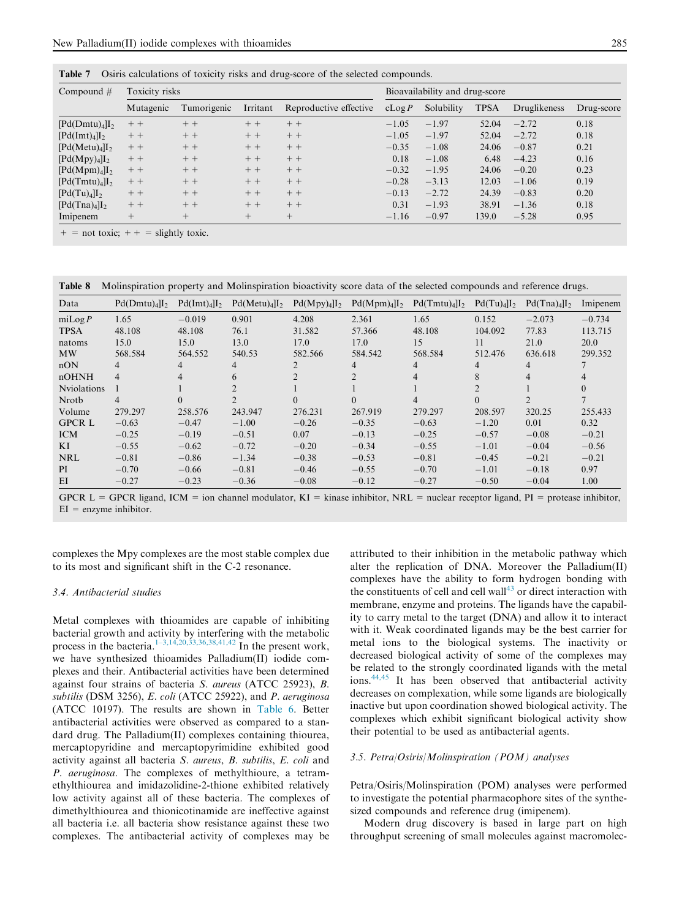<span id="page-6-0"></span>Table 7 Osiris calculations of toxicity risks and drug-score of the selected compounds.

| Compound $#$                           | Toxicity risks |             |          |                        | Bioavailability and drug-score |            |             |              |            |  |
|----------------------------------------|----------------|-------------|----------|------------------------|--------------------------------|------------|-------------|--------------|------------|--|
|                                        | Mutagenic      | Tumorigenic | Irritant | Reproductive effective | cLog P                         | Solubility | <b>TPSA</b> | Druglikeness | Drug-score |  |
| [Pd(Dmtu) <sub>4</sub> ]I <sub>2</sub> | $++$           | $++$        | $++$     | $++$                   | $-1.05$                        | $-1.97$    | 52.04       | $-2.72$      | 0.18       |  |
| [Pd(Imt) <sub>4</sub> ]I <sub>2</sub>  | $++$           | $++$        | $++$     | $++$                   | $-1.05$                        | $-1.97$    | 52.04       | $-2.72$      | 0.18       |  |
| [Pd(Metu) <sub>4</sub> ]               | $++$           | $++$        | $++$     | $++$                   | $-0.35$                        | $-1.08$    | 24.06       | $-0.87$      | 0.21       |  |
| $[{\rm Pd}({\rm Mpy})_4]I_2$           | $++$           | $++$        | $++$     | $++$                   | 0.18                           | $-1.08$    | 6.48        | $-4.23$      | 0.16       |  |
| $[Pd(Mpm)_4]I_2$                       | $++$           | $++$        | $++$     | $++$                   | $-0.32$                        | $-1.95$    | 24.06       | $-0.20$      | 0.23       |  |
| [Pd(Tmtu) <sub>4</sub> ]I <sub>2</sub> | $++$           | $++$        | $++$     | $++$                   | $-0.28$                        | $-3.13$    | 12.03       | $-1.06$      | 0.19       |  |
| $[Pd(Tu)_4]I_2$                        | $++$           | $++$        | $++$     | $++$                   | $-0.13$                        | $-2.72$    | 24.39       | $-0.83$      | 0.20       |  |
| [Pd(Tna) <sub>4</sub> ]I <sub>2</sub>  | $++$           | $++$        | $++$     | $++$                   | 0.31                           | $-1.93$    | 38.91       | $-1.36$      | 0.18       |  |
| Imipenem                               | $^{+}$         | $^{+}$      | $^{+}$   | $^{+}$                 | $-1.16$                        | $-0.97$    | 139.0       | $-5.28$      | 0.95       |  |

 $=$  not toxic;  $+ + =$  slightly toxic.

Table 8 Molinspiration property and Molinspiration bioactivity score data of the selected compounds and reference drugs.

| Data               | $Pd(Dmtu)4$ <sup><math>I2</math></sup> | $Pd(Imt)4$ <sup><math>I2</math></sup> | $Pd(Metu)4$ <sup><math>I2</math></sup> | $Pd(Mpy)_{4}]I_{2}$ | $Pd(Mpm)_4 I_2 $ | $Pd(Tmtu)4$ <sup><math>I2</math></sup> | $Pd(Tu)_{4}]I_{2}$ | $Pd(Tna)4$ <sup><math>I2</math></sup> | Imipenem       |
|--------------------|----------------------------------------|---------------------------------------|----------------------------------------|---------------------|------------------|----------------------------------------|--------------------|---------------------------------------|----------------|
| millog P           | 1.65                                   | $-0.019$                              | 0.901                                  | 4.208               | 2.361            | 1.65                                   | 0.152              | $-2.073$                              | $-0.734$       |
| <b>TPSA</b>        | 48.108                                 | 48.108                                | 76.1                                   | 31.582              | 57.366           | 48.108                                 | 104.092            | 77.83                                 | 113.715        |
| natoms             | 15.0                                   | 15.0                                  | 13.0                                   | 17.0                | 17.0             | 15                                     | 11                 | 21.0                                  | 20.0           |
| <b>MW</b>          | 568.584                                | 564.552                               | 540.53                                 | 582.566             | 584.542          | 568.584                                | 512.476            | 636.618                               | 299.352        |
| nON                | 4                                      | 4                                     | $\overline{4}$                         | $\overline{2}$      | 4                | 4                                      | 4                  | 4                                     |                |
| nOHNH              | 4                                      | $\overline{4}$                        | 6                                      | $\mathfrak{D}$      | $\bigcap$        | 4                                      | 8                  | $\overline{4}$                        | $\overline{4}$ |
| <b>Nviolations</b> |                                        |                                       |                                        |                     |                  |                                        |                    |                                       | $\theta$       |
| Nroth              | 4                                      | $\theta$                              |                                        | $\theta$            | $\Omega$         | $\overline{4}$                         | $\theta$           |                                       |                |
| Volume             | 279.297                                | 258.576                               | 243.947                                | 276.231             | 267.919          | 279.297                                | 208.597            | 320.25                                | 255.433        |
| <b>GPCR L</b>      | $-0.63$                                | $-0.47$                               | $-1.00$                                | $-0.26$             | $-0.35$          | $-0.63$                                | $-1.20$            | 0.01                                  | 0.32           |
| <b>ICM</b>         | $-0.25$                                | $-0.19$                               | $-0.51$                                | 0.07                | $-0.13$          | $-0.25$                                | $-0.57$            | $-0.08$                               | $-0.21$        |
| KI                 | $-0.55$                                | $-0.62$                               | $-0.72$                                | $-0.20$             | $-0.34$          | $-0.55$                                | $-1.01$            | $-0.04$                               | $-0.56$        |
| <b>NRL</b>         | $-0.81$                                | $-0.86$                               | $-1.34$                                | $-0.38$             | $-0.53$          | $-0.81$                                | $-0.45$            | $-0.21$                               | $-0.21$        |
| PI                 | $-0.70$                                | $-0.66$                               | $-0.81$                                | $-0.46$             | $-0.55$          | $-0.70$                                | $-1.01$            | $-0.18$                               | 0.97           |
| EI                 | $-0.27$                                | $-0.23$                               | $-0.36$                                | $-0.08$             | $-0.12$          | $-0.27$                                | $-0.50$            | $-0.04$                               | 1.00           |

GPCR L = GPCR ligand, ICM = ion channel modulator,  $KI =$  kinase inhibitor, NRL = nuclear receptor ligand, PI = protease inhibitor,  $EI$  = enzyme inhibitor.

complexes the Mpy complexes are the most stable complex due to its most and significant shift in the C-2 resonance.

# 3.4. Antibacterial studies

Metal complexes with thioamides are capable of inhibiting bacterial growth and activity by interfering with the metabolic process in the bacteria.<sup>[1–3,14,20,33,36,38,41,42](#page-8-0)</sup> In the present work, we have synthesized thioamides Palladium(II) iodide complexes and their. Antibacterial activities have been determined against four strains of bacteria S. aureus (ATCC 25923), B. subtilis (DSM 3256), E. coli (ATCC 25922), and P. aeruginosa (ATCC 10197). The results are shown in [Table 6.](#page-5-0) Better antibacterial activities were observed as compared to a standard drug. The Palladium(II) complexes containing thiourea, mercaptopyridine and mercaptopyrimidine exhibited good activity against all bacteria S. aureus, B. subtilis, E. coli and P. aeruginosa. The complexes of methylthioure, a tetramethylthiourea and imidazolidine-2-thione exhibited relatively low activity against all of these bacteria. The complexes of dimethylthiourea and thionicotinamide are ineffective against all bacteria i.e. all bacteria show resistance against these two complexes. The antibacterial activity of complexes may be attributed to their inhibition in the metabolic pathway which alter the replication of DNA. Moreover the Palladium(II) complexes have the ability to form hydrogen bonding with the constituents of cell and cell wall $43$  or direct interaction with membrane, enzyme and proteins. The ligands have the capability to carry metal to the target (DNA) and allow it to interact with it. Weak coordinated ligands may be the best carrier for metal ions to the biological systems. The inactivity or decreased biological activity of some of the complexes may be related to the strongly coordinated ligands with the metal ions.[44,45](#page-9-0) It has been observed that antibacterial activity decreases on complexation, while some ligands are biologically inactive but upon coordination showed biological activity. The complexes which exhibit significant biological activity show their potential to be used as antibacterial agents.

#### 3.5. Petra/Osiris/Molinspiration (POM) analyses

Petra/Osiris/Molinspiration (POM) analyses were performed to investigate the potential pharmacophore sites of the synthesized compounds and reference drug (imipenem).

Modern drug discovery is based in large part on high throughput screening of small molecules against macromolec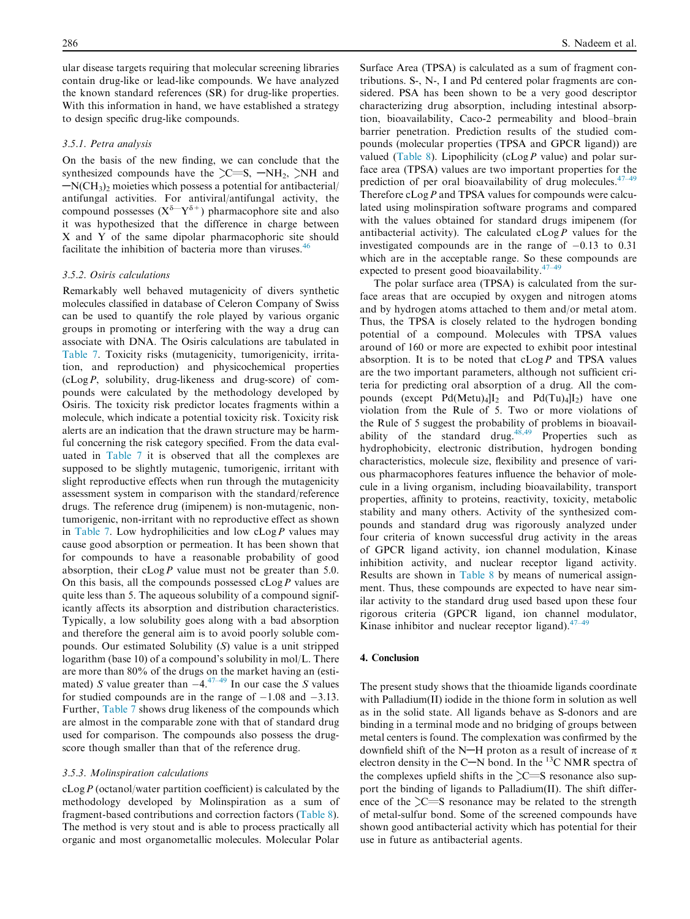ular disease targets requiring that molecular screening libraries contain drug-like or lead-like compounds. We have analyzed the known standard references (SR) for drug-like properties. With this information in hand, we have established a strategy to design specific drug-like compounds.

## 3.5.1. Petra analysis

On the basis of the new finding, we can conclude that the synthesized compounds have the  $\text{C=}\text{S}$ ,  $\text{-NH}_2$ ,  $\text{NH}$  and  $-N(CH<sub>3</sub>)<sub>2</sub>$  moieties which possess a potential for antibacterial/ antifungal activities. For antiviral/antifungal activity, the compound possesses  $(X^{\delta - Y^{\delta^+}})$  pharmacophore site and also it was hypothesized that the difference in charge between X and Y of the same dipolar pharmacophoric site should facilitate the inhibition of bacteria more than viruses.<sup>[46](#page-9-0)</sup>

#### 3.5.2. Osiris calculations

Remarkably well behaved mutagenicity of divers synthetic molecules classified in database of Celeron Company of Swiss can be used to quantify the role played by various organic groups in promoting or interfering with the way a drug can associate with DNA. The Osiris calculations are tabulated in [Table 7](#page-6-0). Toxicity risks (mutagenicity, tumorigenicity, irritation, and reproduction) and physicochemical properties  $(cLog P, solubility, drug-likeness and drug-score)$  of compounds were calculated by the methodology developed by Osiris. The toxicity risk predictor locates fragments within a molecule, which indicate a potential toxicity risk. Toxicity risk alerts are an indication that the drawn structure may be harmful concerning the risk category specified. From the data evaluated in [Table 7](#page-6-0) it is observed that all the complexes are supposed to be slightly mutagenic, tumorigenic, irritant with slight reproductive effects when run through the mutagenicity assessment system in comparison with the standard/reference drugs. The reference drug (imipenem) is non-mutagenic, nontumorigenic, non-irritant with no reproductive effect as shown in [Table 7.](#page-6-0) Low hydrophilicities and low  $cLog P$  values may cause good absorption or permeation. It has been shown that for compounds to have a reasonable probability of good absorption, their  $cLog P$  value must not be greater than 5.0. On this basis, all the compounds possessed  $cLog P$  values are quite less than 5. The aqueous solubility of a compound significantly affects its absorption and distribution characteristics. Typically, a low solubility goes along with a bad absorption and therefore the general aim is to avoid poorly soluble compounds. Our estimated Solubility (S) value is a unit stripped logarithm (base 10) of a compound's solubility in mol/L. There are more than 80% of the drugs on the market having an (estimated) S value greater than  $-4.47-49$  In our case the S values for studied compounds are in the range of  $-1.08$  and  $-3.13$ . Further, [Table 7](#page-6-0) shows drug likeness of the compounds which are almost in the comparable zone with that of standard drug used for comparison. The compounds also possess the drugscore though smaller than that of the reference drug.

#### 3.5.3. Molinspiration calculations

 $cLog P$  (octanol/water partition coefficient) is calculated by the methodology developed by Molinspiration as a sum of fragment-based contributions and correction factors ([Table 8](#page-6-0)). The method is very stout and is able to process practically all organic and most organometallic molecules. Molecular Polar Surface Area (TPSA) is calculated as a sum of fragment contributions. S-, N-, I and Pd centered polar fragments are considered. PSA has been shown to be a very good descriptor characterizing drug absorption, including intestinal absorption, bioavailability, Caco-2 permeability and blood–brain barrier penetration. Prediction results of the studied compounds (molecular properties (TPSA and GPCR ligand)) are valued [\(Table 8](#page-6-0)). Lipophilicity (cLog P value) and polar surface area (TPSA) values are two important properties for the prediction of per oral bioavailability of drug molecules. $47-49$ Therefore  $cLog P$  and TPSA values for compounds were calculated using molinspiration software programs and compared with the values obtained for standard drugs imipenem (for antibacterial activity). The calculated  $cLog P$  values for the investigated compounds are in the range of  $-0.13$  to  $0.31$ which are in the acceptable range. So these compounds are expected to present good bioavailability. $47$ -

The polar surface area (TPSA) is calculated from the surface areas that are occupied by oxygen and nitrogen atoms and by hydrogen atoms attached to them and/or metal atom. Thus, the TPSA is closely related to the hydrogen bonding potential of a compound. Molecules with TPSA values around of 160 or more are expected to exhibit poor intestinal absorption. It is to be noted that  $cLog P$  and TPSA values are the two important parameters, although not sufficient criteria for predicting oral absorption of a drug. All the compounds (except  $Pd(Metu)_4]I_2$  and  $Pd(Tu)_4]I_2$ ) have one violation from the Rule of 5. Two or more violations of the Rule of 5 suggest the probability of problems in bioavailability of the standard drug.<sup>48,49</sup> Properties such as hydrophobicity, electronic distribution, hydrogen bonding characteristics, molecule size, flexibility and presence of various pharmacophores features influence the behavior of molecule in a living organism, including bioavailability, transport properties, affinity to proteins, reactivity, toxicity, metabolic stability and many others. Activity of the synthesized compounds and standard drug was rigorously analyzed under four criteria of known successful drug activity in the areas of GPCR ligand activity, ion channel modulation, Kinase inhibition activity, and nuclear receptor ligand activity. Results are shown in [Table 8](#page-6-0) by means of numerical assignment. Thus, these compounds are expected to have near similar activity to the standard drug used based upon these four rigorous criteria (GPCR ligand, ion channel modulator, Kinase inhibitor and nuclear receptor ligand). $47-4$ 

#### 4. Conclusion

The present study shows that the thioamide ligands coordinate with Palladium(II) iodide in the thione form in solution as well as in the solid state. All ligands behave as S-donors and are binding in a terminal mode and no bridging of groups between metal centers is found. The complexation was confirmed by the downfield shift of the N-H proton as a result of increase of  $\pi$ electron density in the C-N bond. In the  $^{13}$ C NMR spectra of the complexes upfield shifts in the  $\sum$ S resonance also support the binding of ligands to Palladium(II). The shift difference of the  $\geq$ S resonance may be related to the strength of metal-sulfur bond. Some of the screened compounds have shown good antibacterial activity which has potential for their use in future as antibacterial agents.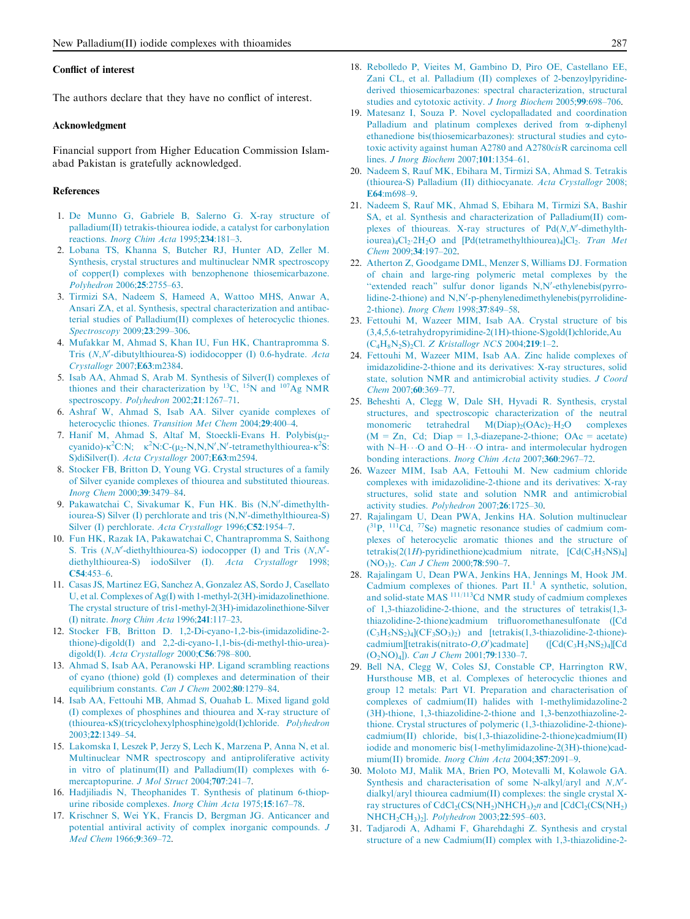#### <span id="page-8-0"></span>Conflict of interest

The authors declare that they have no conflict of interest.

#### Acknowledgment

Financial support from Higher Education Commission Islamabad Pakistan is gratefully acknowledged.

#### References

- 1. [De Munno G, Gabriele B, Salerno G. X-ray structure of](http://refhub.elsevier.com/S2090-5068(15)00079-2/h0005) [palladium\(II\) tetrakis-thiourea iodide, a catalyst for carbonylation](http://refhub.elsevier.com/S2090-5068(15)00079-2/h0005) reactions. [Inorg Chim Acta](http://refhub.elsevier.com/S2090-5068(15)00079-2/h0005) 1995;234:181–3.
- 2. [Lobana TS, Khanna S, Butcher RJ, Hunter AD, Zeller M.](http://refhub.elsevier.com/S2090-5068(15)00079-2/h0010) [Synthesis, crystal structures and multinuclear NMR spectroscopy](http://refhub.elsevier.com/S2090-5068(15)00079-2/h0010) [of copper\(I\) complexes with benzophenone thiosemicarbazone.](http://refhub.elsevier.com/S2090-5068(15)00079-2/h0010) [Polyhedron](http://refhub.elsevier.com/S2090-5068(15)00079-2/h0010) 2006;25:2755–63.
- 3. [Tirmizi SA, Nadeem S, Hameed A, Wattoo MHS, Anwar A,](http://refhub.elsevier.com/S2090-5068(15)00079-2/h0015) [Ansari ZA, et al. Synthesis, spectral characterization and antibac](http://refhub.elsevier.com/S2090-5068(15)00079-2/h0015)[terial studies of Palladium\(II\) complexes of heterocyclic thiones.](http://refhub.elsevier.com/S2090-5068(15)00079-2/h0015) [Spectroscopy](http://refhub.elsevier.com/S2090-5068(15)00079-2/h0015) 2009;23:299–306.
- 4. [Mufakkar M, Ahmad S, Khan IU, Fun HK, Chantrapromma S.](http://refhub.elsevier.com/S2090-5068(15)00079-2/h0020) [Tris \(](http://refhub.elsevier.com/S2090-5068(15)00079-2/h0020)N,N'[-dibutylthiourea-S\) iodidocopper \(I\) 0.6-hydrate.](http://refhub.elsevier.com/S2090-5068(15)00079-2/h0020) Acta [Crystallogr](http://refhub.elsevier.com/S2090-5068(15)00079-2/h0020) 2007;E63:m2384.
- 5. [Isab AA, Ahmad S, Arab M. Synthesis of Silver\(I\) complexes of](http://refhub.elsevier.com/S2090-5068(15)00079-2/h0025) [thiones](http://refhub.elsevier.com/S2090-5068(15)00079-2/h0025) [and](http://refhub.elsevier.com/S2090-5068(15)00079-2/h0025) [their](http://refhub.elsevier.com/S2090-5068(15)00079-2/h0025) [characterization](http://refhub.elsevier.com/S2090-5068(15)00079-2/h0025) [by](http://refhub.elsevier.com/S2090-5068(15)00079-2/h0025) <sup>13</sup>C, <sup>15</sup>[N](http://refhub.elsevier.com/S2090-5068(15)00079-2/h0025) and <sup>107</sup>Ag NMR [spectroscopy.](http://refhub.elsevier.com/S2090-5068(15)00079-2/h0025) Polyhedron 2002;21:1267-71.
- 6. [Ashraf W, Ahmad S, Isab AA. Silver cyanide complexes of](http://refhub.elsevier.com/S2090-5068(15)00079-2/h0030) heterocyclic thiones. [Transition Met Chem](http://refhub.elsevier.com/S2090-5068(15)00079-2/h0030) 2004;29:400–4.
- 7. Hanif M, Ahmad S, Altaf M, Stoeckli[-](http://refhub.elsevier.com/S2090-5068(15)00079-2/h0035)Evans H. Polybis $(\mu_2$ [cyanido\)-](http://refhub.elsevier.com/S2090-5068(15)00079-2/h0035) $\kappa^2 C$ :N;  $\kappa^2 N$ :C-( $\mu_2$ [-N,N,N](http://refhub.elsevier.com/S2090-5068(15)00079-2/h0035)'[,N](http://refhub.elsevier.com/S2090-5068(15)00079-2/h0035)'[-tetramethylthiourea-](http://refhub.elsevier.com/S2090-5068(15)00079-2/h0035) $\kappa^2 S$ : S)diSilver(I). [Acta Crystallogr](http://refhub.elsevier.com/S2090-5068(15)00079-2/h0035) 2007;E63:m2594.
- 8. [Stocker FB, Britton D, Young VG. Crystal structures of a family](http://refhub.elsevier.com/S2090-5068(15)00079-2/h0040) [of Silver cyanide complexes of thiourea and substituted thioureas.](http://refhub.elsevier.com/S2090-5068(15)00079-2/h0040) [Inorg Chem](http://refhub.elsevier.com/S2090-5068(15)00079-2/h0040) 2000;39:3479–84.
- 9. [Pakawatchai C, Sivakumar K, Fun HK. Bis \(N,N](http://refhub.elsevier.com/S2090-5068(15)00079-2/h0045)'[-dimethylth](http://refhub.elsevier.com/S2090-5068(15)00079-2/h0045)[iourea-S\) Silver \(I\) perchlorate and tris \(N,N](http://refhub.elsevier.com/S2090-5068(15)00079-2/h0045)'[-dimethylthiourea-S\)](http://refhub.elsevier.com/S2090-5068(15)00079-2/h0045) [Silver \(I\) perchlorate.](http://refhub.elsevier.com/S2090-5068(15)00079-2/h0045) Acta Crystallogr 1996;C52:1954-7.
- 10. [Fun HK, Razak IA, Pakawatchai C, Chantrapromma S, Saithong](http://refhub.elsevier.com/S2090-5068(15)00079-2/h0050) S. Tris  $(N, N'$ [-](http://refhub.elsevier.com/S2090-5068(15)00079-2/h0050)diethylthiourea-S) iodocopper (I) and Tris  $(N, N'$ [diethylthiourea-S\) iodoSilver \(I\).](http://refhub.elsevier.com/S2090-5068(15)00079-2/h0050) Acta Crystallogr 1998; C54[:453–6](http://refhub.elsevier.com/S2090-5068(15)00079-2/h0050).
- 11. [Casas JS, Martinez EG, Sanchez A, Gonzalez AS, Sordo J, Casellato](http://refhub.elsevier.com/S2090-5068(15)00079-2/h0055) [U, et al. Complexes of Ag\(I\) with 1-methyl-2\(3H\)-imidazolinethione.](http://refhub.elsevier.com/S2090-5068(15)00079-2/h0055) [The crystal structure of tris1-methyl-2\(3H\)-imidazolinethione-Silver](http://refhub.elsevier.com/S2090-5068(15)00079-2/h0055) (I) nitrate. [Inorg Chim Acta](http://refhub.elsevier.com/S2090-5068(15)00079-2/h0055) 1996;241:117–23.
- 12. [Stocker FB, Britton D. 1,2-Di-cyano-1,2-bis-\(imidazolidine-2](http://refhub.elsevier.com/S2090-5068(15)00079-2/h0060) [thione\)-digold\(I\) and 2,2-di-cyano-1,1-bis-\(di-methyl-thio-urea\)](http://refhub.elsevier.com/S2090-5068(15)00079-2/h0060) digold(I). [Acta Crystallogr](http://refhub.elsevier.com/S2090-5068(15)00079-2/h0060) 2000;C56:798–800.
- 13. [Ahmad S, Isab AA, Peranowski HP. Ligand scrambling reactions](http://refhub.elsevier.com/S2090-5068(15)00079-2/h0065) [of cyano \(thione\) gold \(I\) complexes and determination of their](http://refhub.elsevier.com/S2090-5068(15)00079-2/h0065) [equilibrium constants.](http://refhub.elsevier.com/S2090-5068(15)00079-2/h0065) Can J Chem 2002;80:1279–84.
- 14. [Isab AA, Fettouhi MB, Ahmad S, Ouahab L. Mixed ligand gold](http://refhub.elsevier.com/S2090-5068(15)00079-2/h0070) [\(I\) complexes of phosphines and thiourea and X-ray structure of](http://refhub.elsevier.com/S2090-5068(15)00079-2/h0070) (thiourea-K[S\)\(tricyclohexylphosphine\)gold\(I\)chloride.](http://refhub.elsevier.com/S2090-5068(15)00079-2/h0070) Polyhedron 2003;22[:1349–54.](http://refhub.elsevier.com/S2090-5068(15)00079-2/h0070)
- 15. [Lakomska I, Leszek P, Jerzy S, Lech K, Marzena P, Anna N, et al.](http://refhub.elsevier.com/S2090-5068(15)00079-2/h0075) [Multinuclear NMR spectroscopy and antiproliferative activity](http://refhub.elsevier.com/S2090-5068(15)00079-2/h0075) [in vitro of platinum\(II\) and Palladium\(II\) complexes with 6](http://refhub.elsevier.com/S2090-5068(15)00079-2/h0075) [mercaptopurine.](http://refhub.elsevier.com/S2090-5068(15)00079-2/h0075) J Mol Struct 2004;707:241-7.
- 16. [Hadjiliadis N, Theophanides T. Synthesis of platinum 6-thiop](http://refhub.elsevier.com/S2090-5068(15)00079-2/h0080)[urine riboside complexes.](http://refhub.elsevier.com/S2090-5068(15)00079-2/h0080) Inorg Chim Acta 1975;15:167–78.
- 17. [Krischner S, Wei YK, Francis D, Bergman JG. Anticancer and](http://refhub.elsevier.com/S2090-5068(15)00079-2/h0085) [potential antiviral activity of complex inorganic compounds.](http://refhub.elsevier.com/S2090-5068(15)00079-2/h0085) J [Med Chem](http://refhub.elsevier.com/S2090-5068(15)00079-2/h0085) 1966;9:369–72.
- 18. [Rebolledo P, Vieites M, Gambino D, Piro OE, Castellano EE,](http://refhub.elsevier.com/S2090-5068(15)00079-2/h0090) [Zani CL, et al. Palladium \(II\) complexes of 2-benzoylpyridine](http://refhub.elsevier.com/S2090-5068(15)00079-2/h0090)[derived thiosemicarbazones: spectral characterization, structural](http://refhub.elsevier.com/S2090-5068(15)00079-2/h0090) [studies and cytotoxic activity.](http://refhub.elsevier.com/S2090-5068(15)00079-2/h0090) J Inorg Biochem 2005;99:698–706.
- 19. [Matesanz I, Souza P. Novel cyclopalladated and coordination](http://refhub.elsevier.com/S2090-5068(15)00079-2/h0095) [Palladium and platinum complexes derived from](http://refhub.elsevier.com/S2090-5068(15)00079-2/h0095)  $\alpha$ -diphenyl [ethanedione bis\(thiosemicarbazones\): structural studies and cyto](http://refhub.elsevier.com/S2090-5068(15)00079-2/h0095)[toxic activity against human A2780 and A2780](http://refhub.elsevier.com/S2090-5068(15)00079-2/h0095)cisR carcinoma cell lines. [J Inorg Biochem](http://refhub.elsevier.com/S2090-5068(15)00079-2/h0095) 2007;101:1354–61.
- 20. [Nadeem S, Rauf MK, Ebihara M, Tirmizi SA, Ahmad S. Tetrakis](http://refhub.elsevier.com/S2090-5068(15)00079-2/h0100) [\(thiourea-S\) Palladium \(II\) dithiocyanate.](http://refhub.elsevier.com/S2090-5068(15)00079-2/h0100) Acta Crystallogr 2008; E64[:m698–9](http://refhub.elsevier.com/S2090-5068(15)00079-2/h0100).
- 21. [Nadeem S, Rauf MK, Ahmad S, Ebihara M, Tirmizi SA, Bashir](http://refhub.elsevier.com/S2090-5068(15)00079-2/h0105) [SA, et al. Synthesis and characterization of Palladium\(II\) com](http://refhub.elsevier.com/S2090-5068(15)00079-2/h0105)plexes of thioureas. X-ray structures of  $Pd(N,N'-d)$ [-dimethylth](http://refhub.elsevier.com/S2090-5068(15)00079-2/h0105) $iourea)_4Cl_2.2H_2O$  and [Pd(tetramethylthiourea)<sub>4</sub>]Cl<sub>2</sub>. [Tran Met](http://refhub.elsevier.com/S2090-5068(15)00079-2/h0105) Chem 2009;34[:197–202.](http://refhub.elsevier.com/S2090-5068(15)00079-2/h0105)
- 22. [Atherton Z, Goodgame DML, Menzer S, Williams DJ. Formation](http://refhub.elsevier.com/S2090-5068(15)00079-2/h0110) [of chain and large-ring polymeric metal complexes by the](http://refhub.elsevier.com/S2090-5068(15)00079-2/h0110) "extended reach" [sulfur donor ligands N,N](http://refhub.elsevier.com/S2090-5068(15)00079-2/h0110)'[-ethylenebis\(pyrro](http://refhub.elsevier.com/S2090-5068(15)00079-2/h0110)lidine-2-thione) and  $N, N'-p$ -phenylenedimethylenebis(pyrrolidine-2-thione). [Inorg Chem](http://refhub.elsevier.com/S2090-5068(15)00079-2/h0110) 1998;37:849–58.
- 23. [Fettouhi M, Wazeer MIM, Isab AA. Crystal structure of bis](http://refhub.elsevier.com/S2090-5068(15)00079-2/h0115) [\(3,4,5,6-tetrahydropyrimidine-2\(1H\)-thione-S\)gold\(I\)chloride,Au](http://refhub.elsevier.com/S2090-5068(15)00079-2/h0115)  $(C_4H_8N_2S)_{2}Cl.$  [Z Kristallogr NCS](http://refhub.elsevier.com/S2090-5068(15)00079-2/h0115) 2004;219:1-2.
- 24. [Fettouhi M, Wazeer MIM, Isab AA. Zinc halide complexes of](http://refhub.elsevier.com/S2090-5068(15)00079-2/h0120) [imidazolidine-2-thione and its derivatives: X-ray structures, solid](http://refhub.elsevier.com/S2090-5068(15)00079-2/h0120) [state, solution NMR and antimicrobial activity studies.](http://refhub.elsevier.com/S2090-5068(15)00079-2/h0120) J Coord Chem 2007;60[:369–77.](http://refhub.elsevier.com/S2090-5068(15)00079-2/h0120)
- 25. [Beheshti A, Clegg W, Dale SH, Hyvadi R. Synthesis, crystal](http://refhub.elsevier.com/S2090-5068(15)00079-2/h0125) [structures, and spectroscopic characterization of the neutral](http://refhub.elsevier.com/S2090-5068(15)00079-2/h0125) monomeric tetrahedral  $M(Diap)<sub>2</sub>(OAc)<sub>2</sub>·H<sub>2</sub>O$  complexes  $(M = Zn, Cd; Diap = 1,3-diazepane-2-thione; OAc = acetate)$ [with N–H](http://refhub.elsevier.com/S2090-5068(15)00079-2/h0125) $\cdots$ [O and O–H](http://refhub.elsevier.com/S2090-5068(15)00079-2/h0125) $\cdots$ [O intra- and intermolecular hydrogen](http://refhub.elsevier.com/S2090-5068(15)00079-2/h0125) [bonding interactions.](http://refhub.elsevier.com/S2090-5068(15)00079-2/h0125) *Inorg Chim Acta* 2007;360:2967-72.
- 26. [Wazeer MIM, Isab AA, Fettouhi M. New cadmium chloride](http://refhub.elsevier.com/S2090-5068(15)00079-2/h0130) [complexes with imidazolidine-2-thione and its derivatives: X-ray](http://refhub.elsevier.com/S2090-5068(15)00079-2/h0130) [structures, solid state and solution NMR and antimicrobial](http://refhub.elsevier.com/S2090-5068(15)00079-2/h0130) [activity studies.](http://refhub.elsevier.com/S2090-5068(15)00079-2/h0130) Polyhedron 2007;26:1725–30.
- 27. [Rajalingam U, Dean PWA, Jenkins HA. Solution multinuclear](http://refhub.elsevier.com/S2090-5068(15)00079-2/h0135)  $(^{31}P, ^{111}Cd, ^{77}Se)$  $(^{31}P, ^{111}Cd, ^{77}Se)$  $(^{31}P, ^{111}Cd, ^{77}Se)$  magnetic resonance studies of cadmium com[plexes of heterocyclic aromatic thiones and the structure of](http://refhub.elsevier.com/S2090-5068(15)00079-2/h0135) tetrakis(2(1H)-pyridinethione)cadmium nitrate,  $[Cd(C<sub>5</sub>H<sub>5</sub>NS)<sub>4</sub>]$ [\(NO3\)2.](http://refhub.elsevier.com/S2090-5068(15)00079-2/h0135) [Can J Chem](http://refhub.elsevier.com/S2090-5068(15)00079-2/h0135) 2000;78:590–7.
- 28. [Rajalingam U, Dean PWA, Jenkins HA, Jennings M, Hook JM.](http://refhub.elsevier.com/S2090-5068(15)00079-2/h0140) [Cadmium](http://refhub.elsevier.com/S2090-5068(15)00079-2/h0140) [complexes](http://refhub.elsevier.com/S2090-5068(15)00079-2/h0140) [of](http://refhub.elsevier.com/S2090-5068(15)00079-2/h0140) [thiones.](http://refhub.elsevier.com/S2090-5068(15)00079-2/h0140) [Part](http://refhub.elsevier.com/S2090-5068(15)00079-2/h0140)  $II<sup>1</sup>$  [A synthetic, solution,](http://refhub.elsevier.com/S2090-5068(15)00079-2/h0140) [and](http://refhub.elsevier.com/S2090-5068(15)00079-2/h0140) [solid-state](http://refhub.elsevier.com/S2090-5068(15)00079-2/h0140) [MAS](http://refhub.elsevier.com/S2090-5068(15)00079-2/h0140) 111/113[Cd NMR study of cadmium complexes](http://refhub.elsevier.com/S2090-5068(15)00079-2/h0140) [of 1,3-thiazolidine-2-thione, and the structures of tetrakis\(1,3](http://refhub.elsevier.com/S2090-5068(15)00079-2/h0140) [thiazolidine-2-thione\)cadmium trifluoromethanesulfonate \(\[Cd](http://refhub.elsevier.com/S2090-5068(15)00079-2/h0140)  $(C_3H_5NS_2)_4(CF_3SO_3)_2$  and [tetrakis(1,3-thiazolidine-2-thione)[cadmium\]\[tetrakis\(nitrato-](http://refhub.elsevier.com/S2090-5068(15)00079-2/h0140) $O,O'$ )cadmate]  $[[Cd(C<sub>3</sub>H<sub>5</sub>NS<sub>2</sub>)<sub>4</sub>][Cd$  $(O_2NO)_4$ ]). *[Can J Chem](http://refhub.elsevier.com/S2090-5068(15)00079-2/h0140)* 2001;**79**:1330–7.
- 29. [Bell NA, Clegg W, Coles SJ, Constable CP, Harrington RW,](http://refhub.elsevier.com/S2090-5068(15)00079-2/h0145) [Hursthouse MB, et al. Complexes of heterocyclic thiones and](http://refhub.elsevier.com/S2090-5068(15)00079-2/h0145) [group 12 metals: Part VI. Preparation and characterisation of](http://refhub.elsevier.com/S2090-5068(15)00079-2/h0145) [complexes of cadmium\(II\) halides with 1-methylimidazoline-2](http://refhub.elsevier.com/S2090-5068(15)00079-2/h0145) [\(3H\)-thione, 1,3-thiazolidine-2-thione and 1,3-benzothiazoline-2](http://refhub.elsevier.com/S2090-5068(15)00079-2/h0145) [thione. Crystal structures of polymeric \(1,3-thiazolidine-2-thione\)](http://refhub.elsevier.com/S2090-5068(15)00079-2/h0145) [cadmium\(II\) chloride, bis\(1,3-thiazolidine-2-thione\)cadmium\(II\)](http://refhub.elsevier.com/S2090-5068(15)00079-2/h0145) [iodide and monomeric bis\(1-methylimidazoline-2\(3H\)-thione\)cad](http://refhub.elsevier.com/S2090-5068(15)00079-2/h0145)[mium\(II\) bromide.](http://refhub.elsevier.com/S2090-5068(15)00079-2/h0145) *Inorg Chim Acta* 2004;357:2091-9.
- 30. [Moloto MJ, Malik MA, Brien PO, Motevalli M, Kolawole GA.](http://refhub.elsevier.com/S2090-5068(15)00079-2/h0150) [Synthesis and characterisation of some N-alkyl/aryl and](http://refhub.elsevier.com/S2090-5068(15)00079-2/h0150)  $N, N'$  [dialkyl/aryl thiourea cadmium\(II\) complexes: the single crystal X](http://refhub.elsevier.com/S2090-5068(15)00079-2/h0150)ray structures of  $CdCl<sub>2</sub>(CS(NH<sub>2</sub>)NHCH<sub>3</sub>)<sub>2</sub>n$  and  $[GdCl<sub>2</sub>(CS(NH<sub>2</sub>)]$ NHCH<sub>2</sub>CH<sub>3</sub>)<sub>2</sub>]. *[Polyhedron](http://refhub.elsevier.com/S2090-5068(15)00079-2/h0150)* 2003;22:595-603.
- 31. [Tadjarodi A, Adhami F, Gharehdaghi Z. Synthesis and crystal](http://refhub.elsevier.com/S2090-5068(15)00079-2/h0155) [structure of a new Cadmium\(II\) complex with 1,3-thiazolidine-2-](http://refhub.elsevier.com/S2090-5068(15)00079-2/h0155)